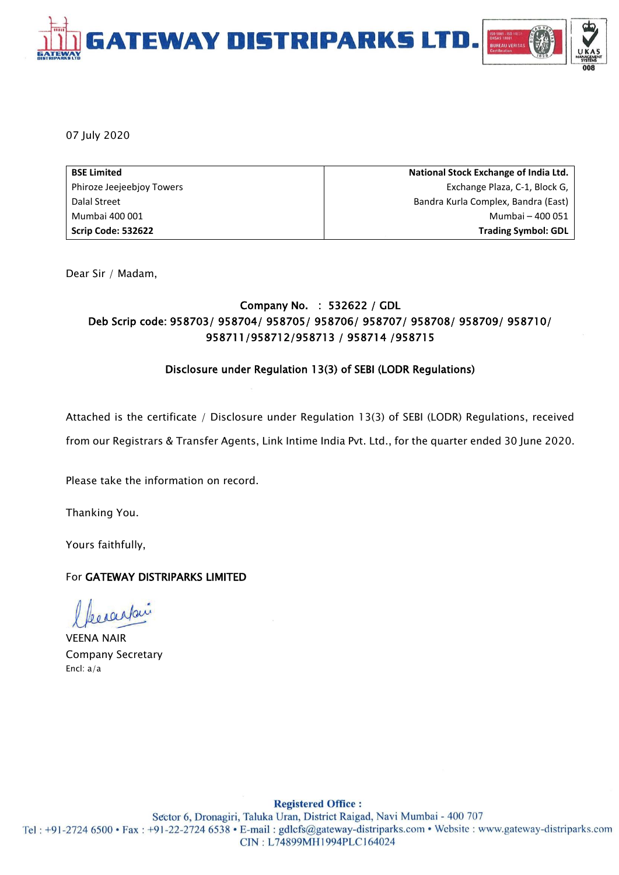

07 July 2020

| <b>BSE Limited</b>        | National Stock Exchange of India Ltd. |
|---------------------------|---------------------------------------|
| Phiroze Jeejeebjoy Towers | Exchange Plaza, C-1, Block G,         |
| Dalal Street              | Bandra Kurla Complex, Bandra (East)   |
| Mumbai 400 001            | Mumbai - 400 051                      |
| Scrip Code: 532622        | <b>Trading Symbol: GDL</b>            |

Dear Sir / Madam,

### Company No. : 532622 / GDL Deb Scrip code: 958703/ 958704/ 958705/ 958706/ 958707/ 958708/ 958709/ 958710/ 958711/958712/958713 / 958714 /958715

#### Disclosure under Regulation 13(3) of SEBI (LODR Regulations)

Attached is the certificate / Disclosure under Regulation 13(3) of SEBI (LODR) Regulations, received

from our Registrars & Transfer Agents, Link Intime India Pvt. Ltd., for the quarter ended 30 June 2020.

Please take the information on record.

Thanking You.

Yours faithfully,

#### For GATEWAY DISTRIPARKS LIMITED

VEENA NAIR Company Secretary Encl: a/a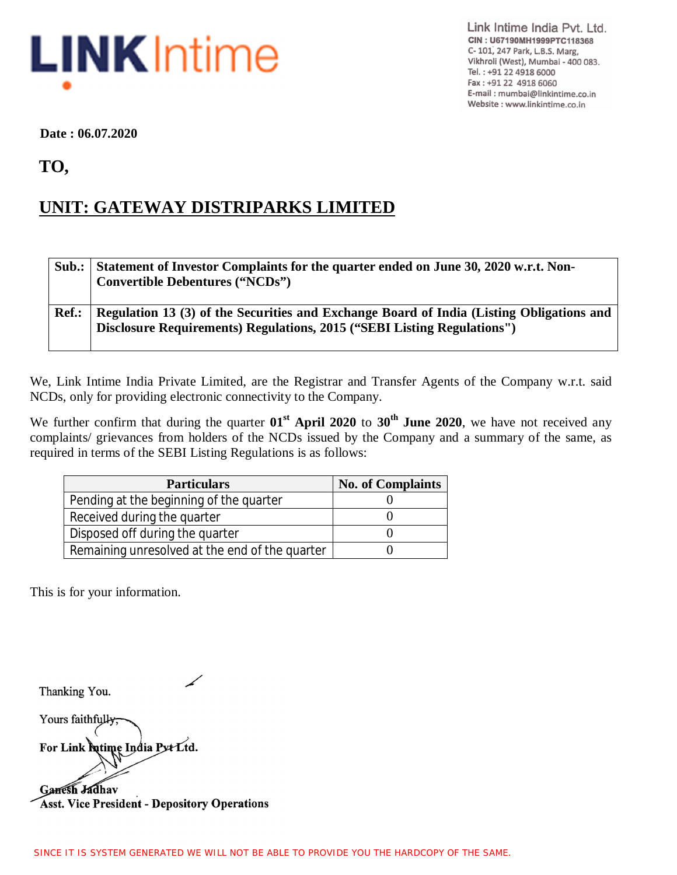

Link Intime India Pvt. Ltd. CIN: U67190MH1999PTC118368 C- 101, 247 Park, L.B.S. Marg, Vikhroli (West), Mumbai - 400 083. Tel.: +91 22 4918 6000 Fax: +91 22 4918 6060 E-mail: mumbai@linkintime.co.in Website : www.linkintime.co.in

 **Date : 06.07.2020**

 **TO,**

## **UNIT: GATEWAY DISTRIPARKS LIMITED**

|       | Sub.: Statement of Investor Complaints for the quarter ended on June 30, 2020 w.r.t. Non-<br><b>Convertible Debentures ("NCDs")</b>                                 |
|-------|---------------------------------------------------------------------------------------------------------------------------------------------------------------------|
| Ref.: | Regulation 13 (3) of the Securities and Exchange Board of India (Listing Obligations and<br>Disclosure Requirements) Regulations, 2015 ("SEBI Listing Regulations") |

We, Link Intime India Private Limited, are the Registrar and Transfer Agents of the Company w.r.t. said NCDs, only for providing electronic connectivity to the Company.

We further confirm that during the quarter  $01^{st}$  **April 2020** to 30<sup>th</sup> June 2020, we have not received any complaints/ grievances from holders of the NCDs issued by the Company and a summary of the same, as required in terms of the SEBI Listing Regulations is as follows:

| <b>Particulars</b>                             | <b>No. of Complaints</b> |
|------------------------------------------------|--------------------------|
| Pending at the beginning of the quarter        |                          |
| Received during the quarter                    |                          |
| Disposed off during the quarter                |                          |
| Remaining unresolved at the end of the quarter |                          |

This is for your information.

Thanking You.

Yours faithfully For Link futime India Pyt Ltd.

Ganesh Jadhav **Asst. Vice President - Depository Operations**